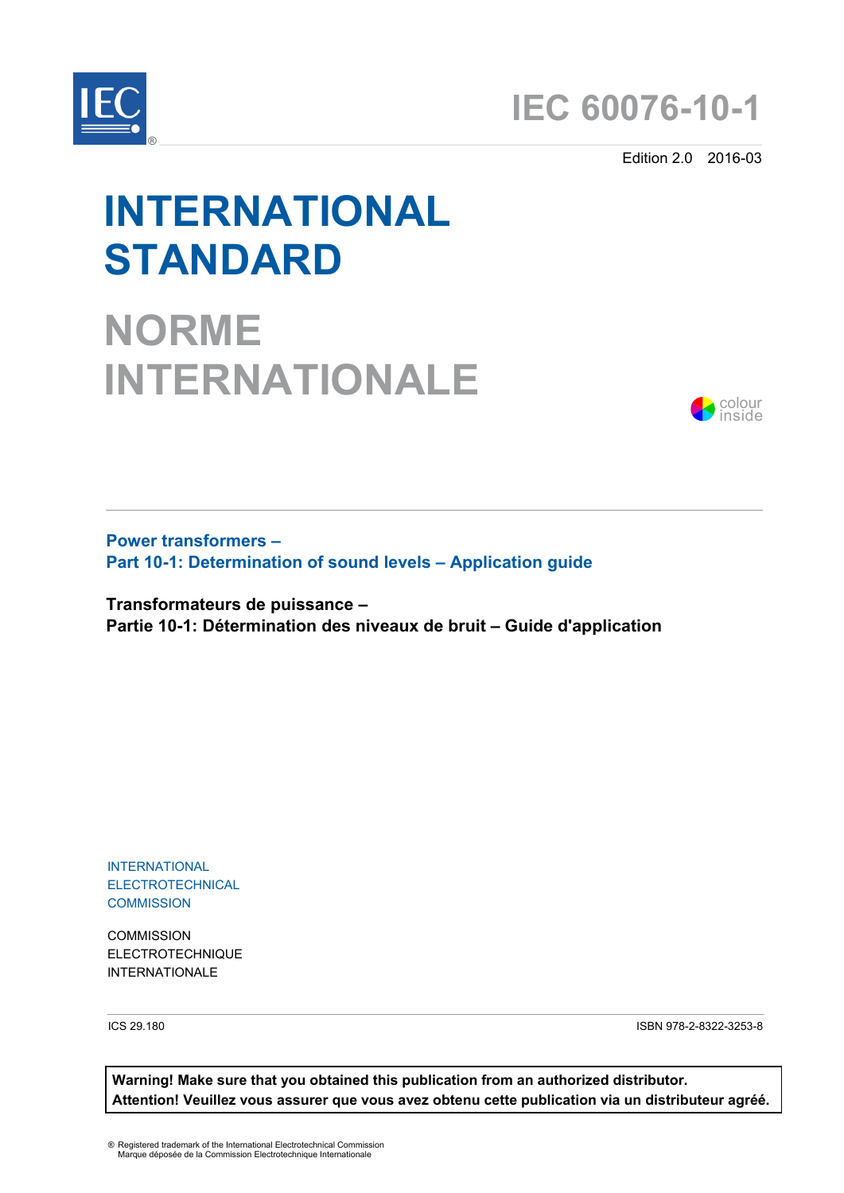



Edition 2.0 2016-03

# **INTERNATIONAL STANDARD**

**NORME INTERNATIONALE**



**Power transformers – Part 10-1: Determination of sound levels – Application guide**

**Transformateurs de puissance – Partie 10-1: Détermination des niveaux de bruit – Guide d'application**

INTERNATIONAL ELECTROTECHNICAL **COMMISSION** 

**COMMISSION** ELECTROTECHNIQUE INTERNATIONALE

ICS 29.180 ISBN 978-2-8322-3253-8

**Warning! Make sure that you obtained this publication from an authorized distributor. Attention! Veuillez vous assurer que vous avez obtenu cette publication via un distributeur agréé.**

® Registered trademark of the International Electrotechnical Commission Marque déposée de la Commission Electrotechnique Internationale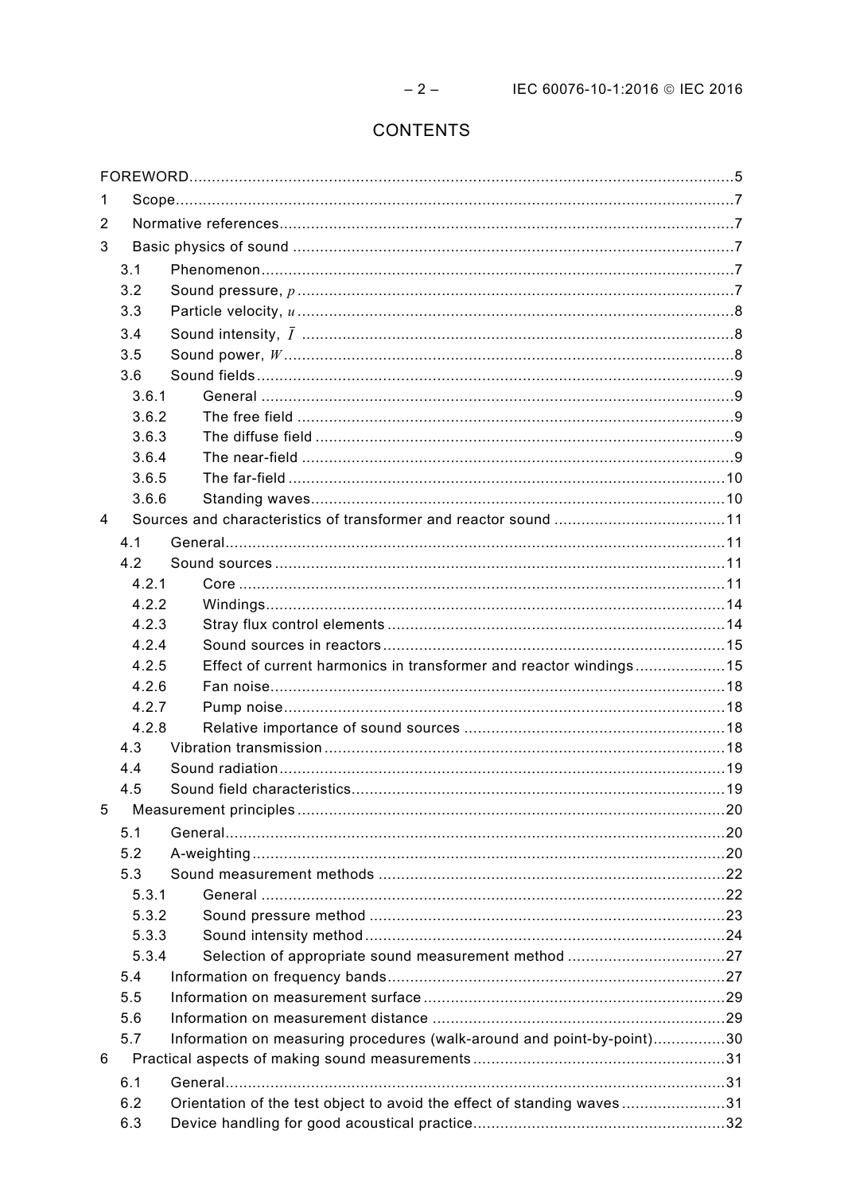# CONTENTS

| 1 |              |                                                                        |  |
|---|--------------|------------------------------------------------------------------------|--|
| 2 |              |                                                                        |  |
| 3 |              |                                                                        |  |
|   | 3.1          |                                                                        |  |
|   | 3.2          |                                                                        |  |
|   | 3.3          |                                                                        |  |
|   | 3.4          |                                                                        |  |
|   | 3.5          |                                                                        |  |
|   | 3.6          |                                                                        |  |
|   | 3.6.1        |                                                                        |  |
|   | 3.6.2        |                                                                        |  |
|   | 3.6.3        |                                                                        |  |
|   | 3.6.4        |                                                                        |  |
|   | 3.6.5        |                                                                        |  |
|   | 3.6.6        |                                                                        |  |
| 4 |              |                                                                        |  |
|   |              |                                                                        |  |
|   | 4.1          |                                                                        |  |
|   | 4.2<br>4.2.1 |                                                                        |  |
|   | 4.2.2        |                                                                        |  |
|   |              |                                                                        |  |
|   | 4.2.3        |                                                                        |  |
|   | 4.2.4        |                                                                        |  |
|   | 4.2.5        | Effect of current harmonics in transformer and reactor windings15      |  |
|   | 4.2.6        |                                                                        |  |
|   | 4.2.7        |                                                                        |  |
|   | 4.2.8        |                                                                        |  |
|   | 4.3          |                                                                        |  |
|   | 4.4          |                                                                        |  |
|   | 4.5          |                                                                        |  |
| 5 |              |                                                                        |  |
|   | 5.1          |                                                                        |  |
|   | 5.2          |                                                                        |  |
|   | 5.3          |                                                                        |  |
|   | 5.3.1        |                                                                        |  |
|   | 5.3.2        |                                                                        |  |
|   | 5.3.3        |                                                                        |  |
|   | 5.3.4        |                                                                        |  |
|   | 5.4          |                                                                        |  |
|   | 5.5          |                                                                        |  |
|   | 5.6          |                                                                        |  |
|   | 5.7          | Information on measuring procedures (walk-around and point-by-point)30 |  |
| 6 |              |                                                                        |  |
|   | 6.1          |                                                                        |  |
|   | 6.2          | Orientation of the test object to avoid the effect of standing waves31 |  |
|   | 6.3          |                                                                        |  |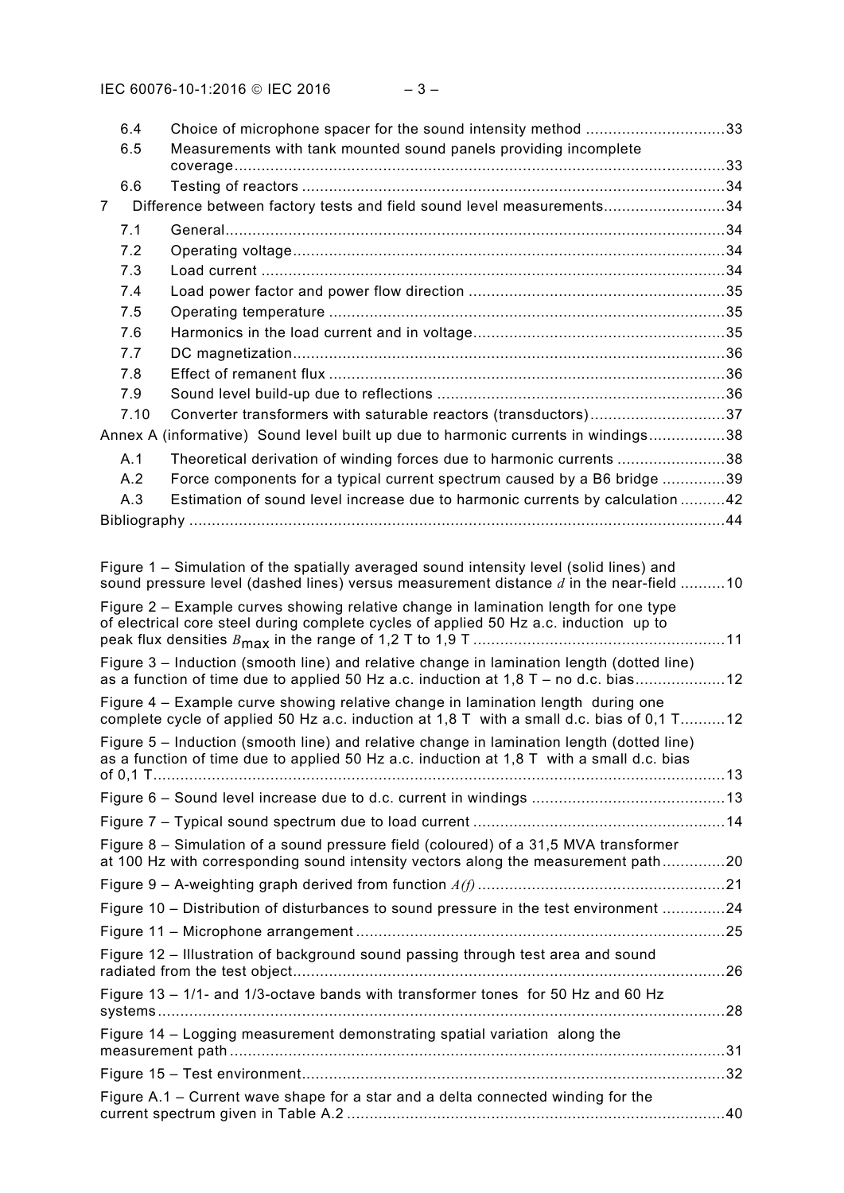| 6.5  | Choice of microphone spacer for the sound intensity method 33                                                                                                                          |  |
|------|----------------------------------------------------------------------------------------------------------------------------------------------------------------------------------------|--|
|      | Measurements with tank mounted sound panels providing incomplete                                                                                                                       |  |
|      |                                                                                                                                                                                        |  |
| 6.6  |                                                                                                                                                                                        |  |
| 7    | Difference between factory tests and field sound level measurements34                                                                                                                  |  |
| 7.1  |                                                                                                                                                                                        |  |
| 7.2  |                                                                                                                                                                                        |  |
| 7.3  |                                                                                                                                                                                        |  |
| 7.4  |                                                                                                                                                                                        |  |
| 7.5  |                                                                                                                                                                                        |  |
| 7.6  |                                                                                                                                                                                        |  |
| 7.7  |                                                                                                                                                                                        |  |
| 7.8  |                                                                                                                                                                                        |  |
| 7.9  |                                                                                                                                                                                        |  |
| 7.10 | Converter transformers with saturable reactors (transductors)37                                                                                                                        |  |
|      | Annex A (informative) Sound level built up due to harmonic currents in windings38                                                                                                      |  |
| A.1  | Theoretical derivation of winding forces due to harmonic currents 38                                                                                                                   |  |
| A.2  | Force components for a typical current spectrum caused by a B6 bridge 39                                                                                                               |  |
| A.3  | Estimation of sound level increase due to harmonic currents by calculation 42                                                                                                          |  |
|      |                                                                                                                                                                                        |  |
|      | Figure 1 – Simulation of the spatially averaged sound intensity level (solid lines) and<br>sound pressure level (dashed lines) versus measurement distance d in the near-field 10      |  |
|      | Figure 2 – Example curves showing relative change in lamination length for one type                                                                                                    |  |
|      | of electrical core steel during complete cycles of applied 50 Hz a.c. induction up to                                                                                                  |  |
|      | Figure 3 – Induction (smooth line) and relative change in lamination length (dotted line)                                                                                              |  |
|      | Figure 4 - Example curve showing relative change in lamination length during one<br>complete cycle of applied 50 Hz a.c. induction at 1,8 T with a small d.c. bias of 0,1 T12          |  |
|      | Figure 5 - Induction (smooth line) and relative change in lamination length (dotted line)<br>as a function of time due to applied 50 Hz a.c. induction at 1,8 T with a small d.c. bias |  |
|      |                                                                                                                                                                                        |  |
|      |                                                                                                                                                                                        |  |

| Figure 8 – Simulation of a sound pressure field (coloured) of a 31,5 MVA transformer<br>at 100 Hz with corresponding sound intensity vectors along the measurement path20 |  |
|---------------------------------------------------------------------------------------------------------------------------------------------------------------------------|--|
|                                                                                                                                                                           |  |
| Figure 10 – Distribution of disturbances to sound pressure in the test environment 24                                                                                     |  |
|                                                                                                                                                                           |  |
| Figure 12 – Illustration of background sound passing through test area and sound                                                                                          |  |
| Figure $13 - 1/1$ - and $1/3$ -octave bands with transformer tones for 50 Hz and 60 Hz                                                                                    |  |
| Figure 14 – Logging measurement demonstrating spatial variation along the                                                                                                 |  |
|                                                                                                                                                                           |  |
| Figure A.1 – Current wave shape for a star and a delta connected winding for the                                                                                          |  |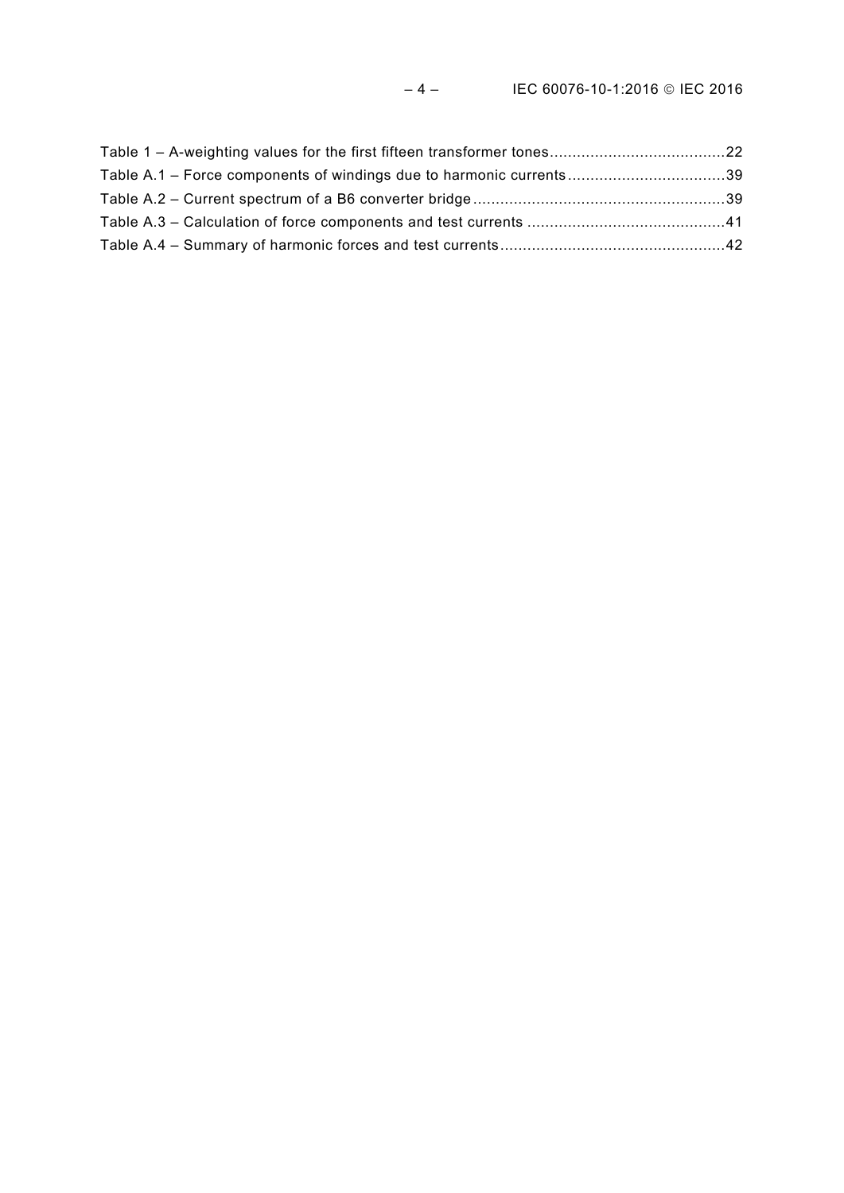# – 4 – IEC 60076-10-1:2016 IEC 2016

| Table A.1 - Force components of windings due to harmonic currents39 |  |
|---------------------------------------------------------------------|--|
|                                                                     |  |
|                                                                     |  |
|                                                                     |  |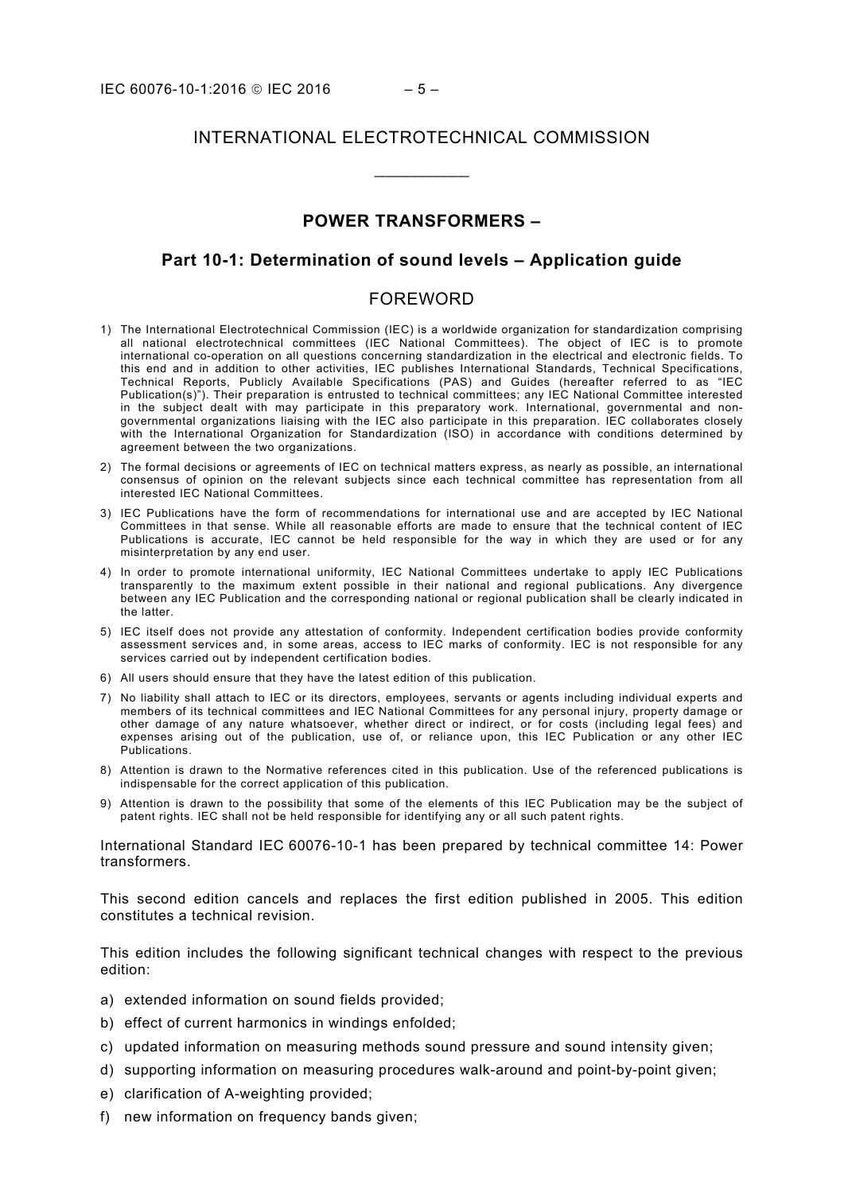## INTERNATIONAL ELECTROTECHNICAL COMMISSION

\_\_\_\_\_\_\_\_\_\_\_\_

## **POWER TRANSFORMERS –**

## **Part 10-1: Determination of sound levels – Application guide**

#### FOREWORD

- <span id="page-4-0"></span>1) The International Electrotechnical Commission (IEC) is a worldwide organization for standardization comprising all national electrotechnical committees (IEC National Committees). The object of IEC is to promote international co-operation on all questions concerning standardization in the electrical and electronic fields. To this end and in addition to other activities, IEC publishes International Standards, Technical Specifications, Technical Reports, Publicly Available Specifications (PAS) and Guides (hereafter referred to as "IEC Publication(s)"). Their preparation is entrusted to technical committees; any IEC National Committee interested in the subject dealt with may participate in this preparatory work. International, governmental and nongovernmental organizations liaising with the IEC also participate in this preparation. IEC collaborates closely with the International Organization for Standardization (ISO) in accordance with conditions determined by agreement between the two organizations.
- 2) The formal decisions or agreements of IEC on technical matters express, as nearly as possible, an international consensus of opinion on the relevant subjects since each technical committee has representation from all interested IEC National Committees.
- 3) IEC Publications have the form of recommendations for international use and are accepted by IEC National Committees in that sense. While all reasonable efforts are made to ensure that the technical content of IEC Publications is accurate, IEC cannot be held responsible for the way in which they are used or for any misinterpretation by any end user.
- 4) In order to promote international uniformity, IEC National Committees undertake to apply IEC Publications transparently to the maximum extent possible in their national and regional publications. Any divergence between any IEC Publication and the corresponding national or regional publication shall be clearly indicated in the latter.
- 5) IEC itself does not provide any attestation of conformity. Independent certification bodies provide conformity assessment services and, in some areas, access to IEC marks of conformity. IEC is not responsible for any services carried out by independent certification bodies.
- 6) All users should ensure that they have the latest edition of this publication.
- 7) No liability shall attach to IEC or its directors, employees, servants or agents including individual experts and members of its technical committees and IEC National Committees for any personal injury, property damage or other damage of any nature whatsoever, whether direct or indirect, or for costs (including legal fees) and expenses arising out of the publication, use of, or reliance upon, this IEC Publication or any other IEC Publications.
- 8) Attention is drawn to the Normative references cited in this publication. Use of the referenced publications is indispensable for the correct application of this publication.
- 9) Attention is drawn to the possibility that some of the elements of this IEC Publication may be the subject of patent rights. IEC shall not be held responsible for identifying any or all such patent rights.

International Standard IEC 60076-10-1 has been prepared by technical committee 14: Power transformers.

This second edition cancels and replaces the first edition published in 2005. This edition constitutes a technical revision.

This edition includes the following significant technical changes with respect to the previous edition:

- a) extended information on sound fields provided;
- b) effect of current harmonics in windings enfolded;
- c) updated information on measuring methods sound pressure and sound intensity given;
- d) supporting information on measuring procedures walk-around and point-by-point given;
- e) clarification of A-weighting provided;
- f) new information on frequency bands given;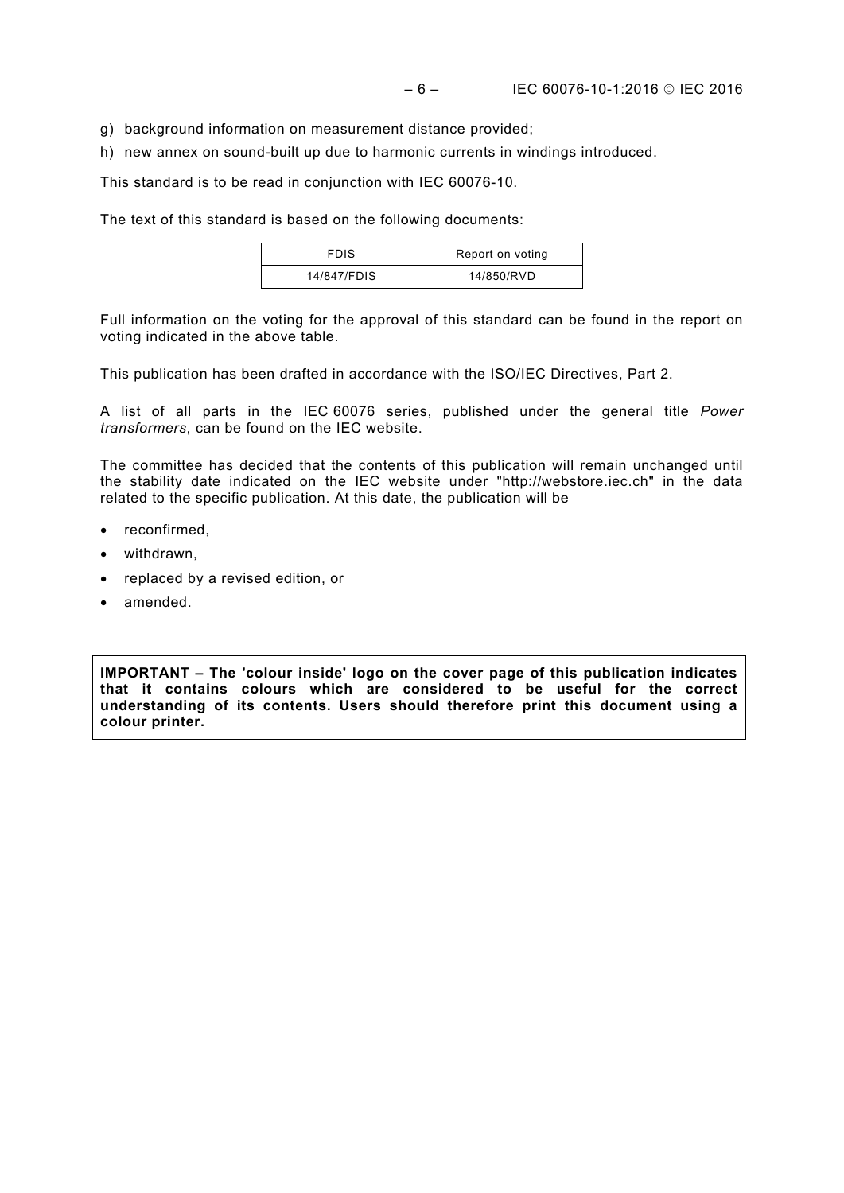- g) background information on measurement distance provided;
- h) new annex on sound-built up due to harmonic currents in windings introduced.

This standard is to be read in conjunction with IEC 60076-10.

The text of this standard is based on the following documents:

| FDIS        | Report on voting |
|-------------|------------------|
| 14/847/FDIS | 14/850/RVD       |

Full information on the voting for the approval of this standard can be found in the report on voting indicated in the above table.

This publication has been drafted in accordance with the ISO/IEC Directives, Part 2.

A list of all parts in the IEC 60076 series, published under the general title *Power transformers*, can be found on the IEC website.

The committee has decided that the contents of this publication will remain unchanged until the stability date indicated on the IEC website under "http://webstore.iec.ch" in the data related to the specific publication. At this date, the publication will be

- reconfirmed,
- withdrawn,
- replaced by a revised edition, or
- amended.

**IMPORTANT – The 'colour inside' logo on the cover page of this publication indicates that it contains colours which are considered to be useful for the correct understanding of its contents. Users should therefore print this document using a colour printer.**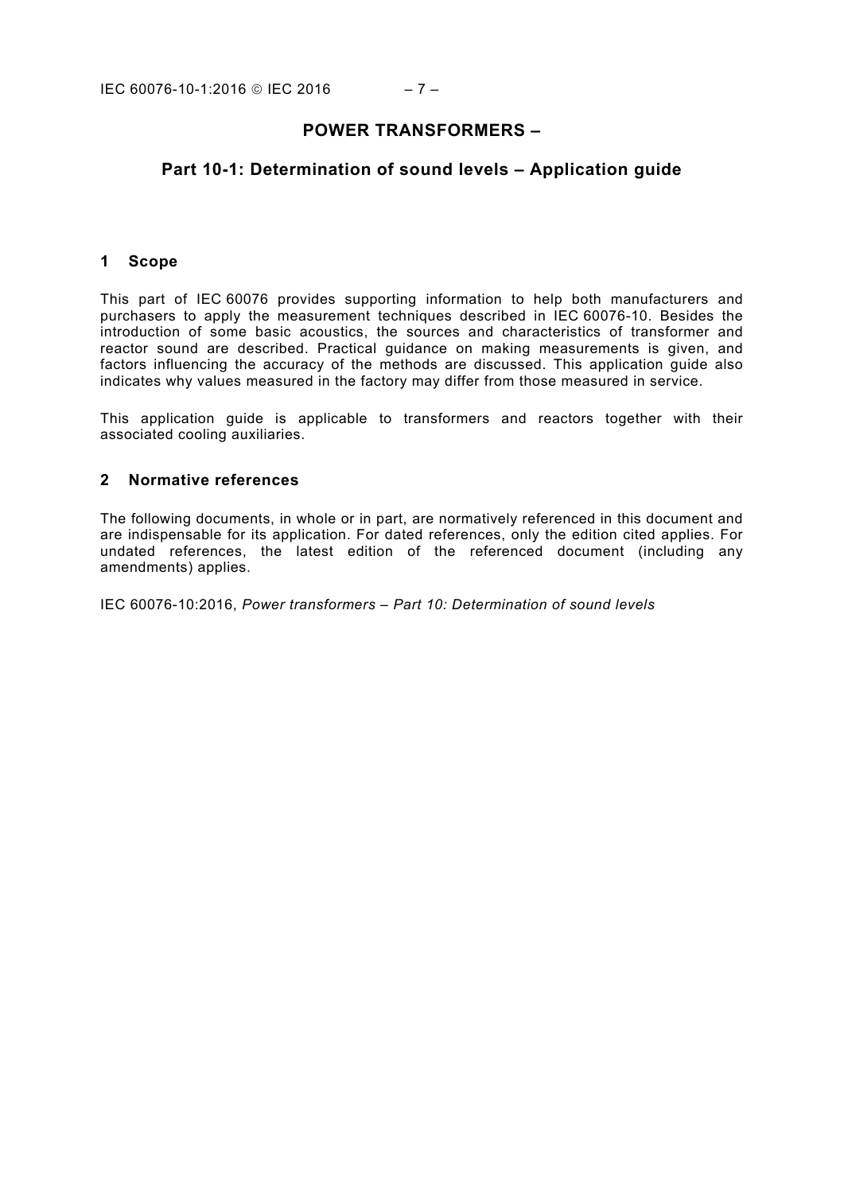# **POWER TRANSFORMERS –**

# **Part 10-1: Determination of sound levels – Application guide**

#### <span id="page-6-0"></span>**1 Scope**

This part of IEC 60076 provides supporting information to help both manufacturers and purchasers to apply the measurement techniques described in IEC 60076-10. Besides the introduction of some basic acoustics, the sources and characteristics of transformer and reactor sound are described. Practical guidance on making measurements is given, and factors influencing the accuracy of the methods are discussed. This application guide also indicates why values measured in the factory may differ from those measured in service.

This application guide is applicable to transformers and reactors together with their associated cooling auxiliaries.

#### <span id="page-6-1"></span>**2 Normative references**

The following documents, in whole or in part, are normatively referenced in this document and are indispensable for its application. For dated references, only the edition cited applies. For undated references, the latest edition of the referenced document (including any amendments) applies.

<span id="page-6-4"></span><span id="page-6-3"></span><span id="page-6-2"></span>IEC 60076-10:2016, *Power transformers – Part 10: Determination of sound levels*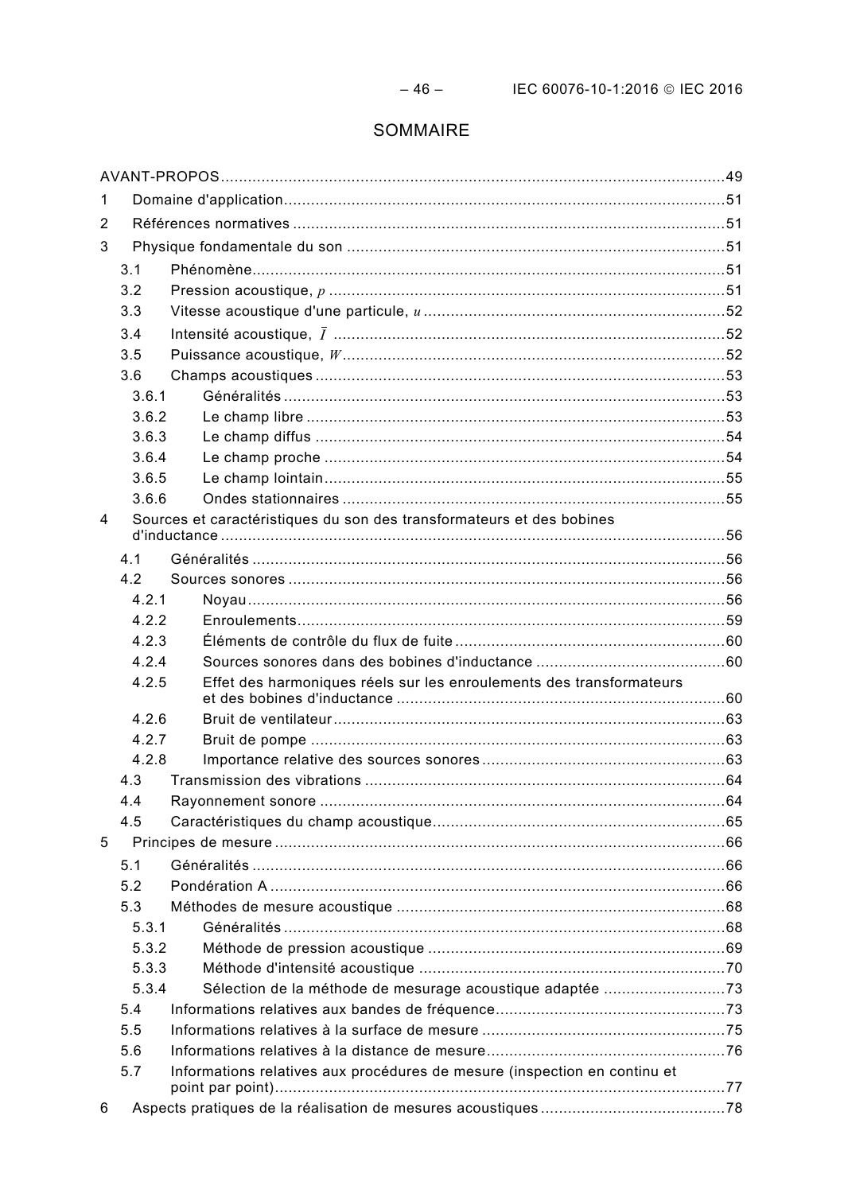# SOMMAIRE

| 3.1 |                                                      |                                                                                                                                                                                                                                                                                                                                                                                                                                                           |
|-----|------------------------------------------------------|-----------------------------------------------------------------------------------------------------------------------------------------------------------------------------------------------------------------------------------------------------------------------------------------------------------------------------------------------------------------------------------------------------------------------------------------------------------|
| 3.2 |                                                      |                                                                                                                                                                                                                                                                                                                                                                                                                                                           |
| 3.3 |                                                      |                                                                                                                                                                                                                                                                                                                                                                                                                                                           |
| 3.4 |                                                      |                                                                                                                                                                                                                                                                                                                                                                                                                                                           |
| 3.5 |                                                      |                                                                                                                                                                                                                                                                                                                                                                                                                                                           |
| 3.6 |                                                      |                                                                                                                                                                                                                                                                                                                                                                                                                                                           |
|     |                                                      |                                                                                                                                                                                                                                                                                                                                                                                                                                                           |
|     |                                                      |                                                                                                                                                                                                                                                                                                                                                                                                                                                           |
|     |                                                      |                                                                                                                                                                                                                                                                                                                                                                                                                                                           |
|     |                                                      |                                                                                                                                                                                                                                                                                                                                                                                                                                                           |
|     |                                                      |                                                                                                                                                                                                                                                                                                                                                                                                                                                           |
|     |                                                      |                                                                                                                                                                                                                                                                                                                                                                                                                                                           |
|     |                                                      |                                                                                                                                                                                                                                                                                                                                                                                                                                                           |
|     |                                                      |                                                                                                                                                                                                                                                                                                                                                                                                                                                           |
|     |                                                      |                                                                                                                                                                                                                                                                                                                                                                                                                                                           |
|     |                                                      |                                                                                                                                                                                                                                                                                                                                                                                                                                                           |
|     |                                                      |                                                                                                                                                                                                                                                                                                                                                                                                                                                           |
|     |                                                      |                                                                                                                                                                                                                                                                                                                                                                                                                                                           |
|     |                                                      |                                                                                                                                                                                                                                                                                                                                                                                                                                                           |
|     |                                                      |                                                                                                                                                                                                                                                                                                                                                                                                                                                           |
|     |                                                      |                                                                                                                                                                                                                                                                                                                                                                                                                                                           |
|     |                                                      |                                                                                                                                                                                                                                                                                                                                                                                                                                                           |
|     |                                                      |                                                                                                                                                                                                                                                                                                                                                                                                                                                           |
|     |                                                      |                                                                                                                                                                                                                                                                                                                                                                                                                                                           |
| 4.3 |                                                      |                                                                                                                                                                                                                                                                                                                                                                                                                                                           |
| 44  |                                                      | .64                                                                                                                                                                                                                                                                                                                                                                                                                                                       |
| 4.5 |                                                      |                                                                                                                                                                                                                                                                                                                                                                                                                                                           |
|     |                                                      |                                                                                                                                                                                                                                                                                                                                                                                                                                                           |
| 5.1 |                                                      |                                                                                                                                                                                                                                                                                                                                                                                                                                                           |
|     |                                                      |                                                                                                                                                                                                                                                                                                                                                                                                                                                           |
|     |                                                      |                                                                                                                                                                                                                                                                                                                                                                                                                                                           |
|     |                                                      |                                                                                                                                                                                                                                                                                                                                                                                                                                                           |
|     |                                                      |                                                                                                                                                                                                                                                                                                                                                                                                                                                           |
|     |                                                      |                                                                                                                                                                                                                                                                                                                                                                                                                                                           |
|     |                                                      |                                                                                                                                                                                                                                                                                                                                                                                                                                                           |
|     |                                                      |                                                                                                                                                                                                                                                                                                                                                                                                                                                           |
|     |                                                      |                                                                                                                                                                                                                                                                                                                                                                                                                                                           |
|     |                                                      |                                                                                                                                                                                                                                                                                                                                                                                                                                                           |
|     |                                                      |                                                                                                                                                                                                                                                                                                                                                                                                                                                           |
|     |                                                      |                                                                                                                                                                                                                                                                                                                                                                                                                                                           |
|     | 4.1<br>4.2<br>5.2<br>5.3<br>5.4<br>5.5<br>5.6<br>5.7 | 3.6.1<br>3.6.2<br>3.6.3<br>3.6.4<br>3.6.5<br>3.6.6<br>Sources et caractéristiques du son des transformateurs et des bobines<br>4.2.1<br>4.2.2<br>4.2.3<br>4.2.4<br>4.2.5<br>Effet des harmoniques réels sur les enroulements des transformateurs<br>4.2.6<br>4.2.7<br>4.2.8<br>5.3.1<br>5.3.2<br>5.3.3<br>5.3.4<br>Sélection de la méthode de mesurage acoustique adaptée 73<br>Informations relatives aux procédures de mesure (inspection en continu et |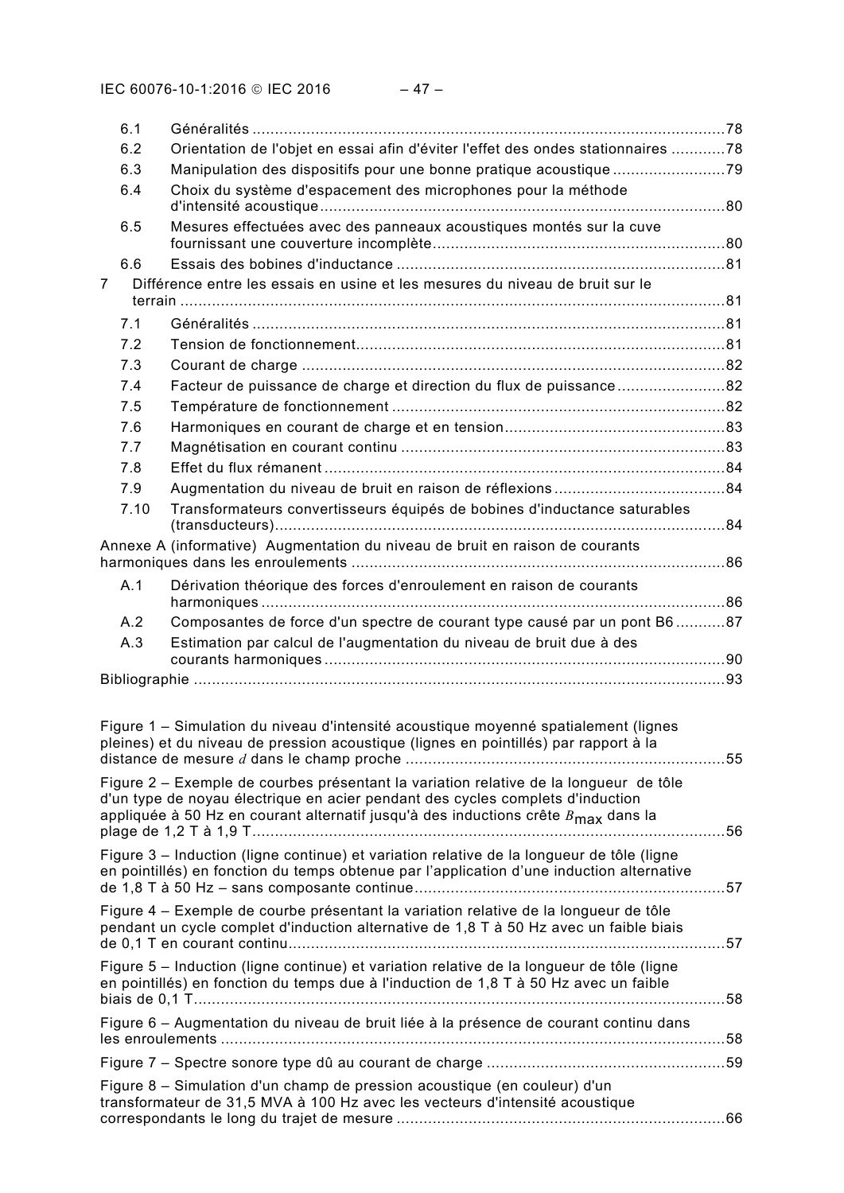| 6.1            |                                                                                                                                                                                                                                                                          |  |
|----------------|--------------------------------------------------------------------------------------------------------------------------------------------------------------------------------------------------------------------------------------------------------------------------|--|
| 6.2            | Orientation de l'objet en essai afin d'éviter l'effet des ondes stationnaires 78                                                                                                                                                                                         |  |
| 6.3            |                                                                                                                                                                                                                                                                          |  |
| 6.4            | Choix du système d'espacement des microphones pour la méthode                                                                                                                                                                                                            |  |
| 6.5            | Mesures effectuées avec des panneaux acoustiques montés sur la cuve                                                                                                                                                                                                      |  |
| 6.6            |                                                                                                                                                                                                                                                                          |  |
| $\overline{7}$ | Différence entre les essais en usine et les mesures du niveau de bruit sur le                                                                                                                                                                                            |  |
| 7.1            |                                                                                                                                                                                                                                                                          |  |
| 7.2            |                                                                                                                                                                                                                                                                          |  |
| 7.3            |                                                                                                                                                                                                                                                                          |  |
| 7.4            |                                                                                                                                                                                                                                                                          |  |
| 7.5            |                                                                                                                                                                                                                                                                          |  |
| 7.6            |                                                                                                                                                                                                                                                                          |  |
| 7.7            |                                                                                                                                                                                                                                                                          |  |
| 7.8            |                                                                                                                                                                                                                                                                          |  |
| 7.9            |                                                                                                                                                                                                                                                                          |  |
| 7.10           | Transformateurs convertisseurs équipés de bobines d'inductance saturables<br>$(transducteurs) \dots 34$                                                                                                                                                                  |  |
|                | Annexe A (informative) Augmentation du niveau de bruit en raison de courants                                                                                                                                                                                             |  |
| A.1            | Dérivation théorique des forces d'enroulement en raison de courants                                                                                                                                                                                                      |  |
| A.2            | Composantes de force d'un spectre de courant type causé par un pont B687                                                                                                                                                                                                 |  |
| A.3            | Estimation par calcul de l'augmentation du niveau de bruit due à des                                                                                                                                                                                                     |  |
|                |                                                                                                                                                                                                                                                                          |  |
|                |                                                                                                                                                                                                                                                                          |  |
|                | Figure 1 – Simulation du niveau d'intensité acoustique moyenné spatialement (lignes<br>pleines) et du niveau de pression acoustique (lignes en pointillés) par rapport à la                                                                                              |  |
|                | Figure 2 – Exemple de courbes présentant la variation relative de la longueur de tôle<br>d'un type de noyau électrique en acier pendant des cycles complets d'induction<br>appliquée à 50 Hz en courant alternatif jusqu'à des inductions crête $B_{\text{max}}$ dans la |  |
|                |                                                                                                                                                                                                                                                                          |  |
|                | Figure 3 - Induction (ligne continue) et variation relative de la longueur de tôle (ligne<br>en pointillés) en fonction du temps obtenue par l'application d'une induction alternative                                                                                   |  |
|                | Figure 4 – Exemple de courbe présentant la variation relative de la longueur de tôle<br>pendant un cycle complet d'induction alternative de 1,8 T à 50 Hz avec un faible biais                                                                                           |  |
|                | Figure 5 - Induction (ligne continue) et variation relative de la longueur de tôle (ligne<br>en pointillés) en fonction du temps due à l'induction de 1,8 T à 50 Hz avec un faible                                                                                       |  |
|                | Figure 6 – Augmentation du niveau de bruit liée à la présence de courant continu dans                                                                                                                                                                                    |  |
|                |                                                                                                                                                                                                                                                                          |  |
|                |                                                                                                                                                                                                                                                                          |  |
|                | Figure 8 - Simulation d'un champ de pression acoustique (en couleur) d'un<br>transformateur de 31,5 MVA à 100 Hz avec les vecteurs d'intensité acoustique                                                                                                                |  |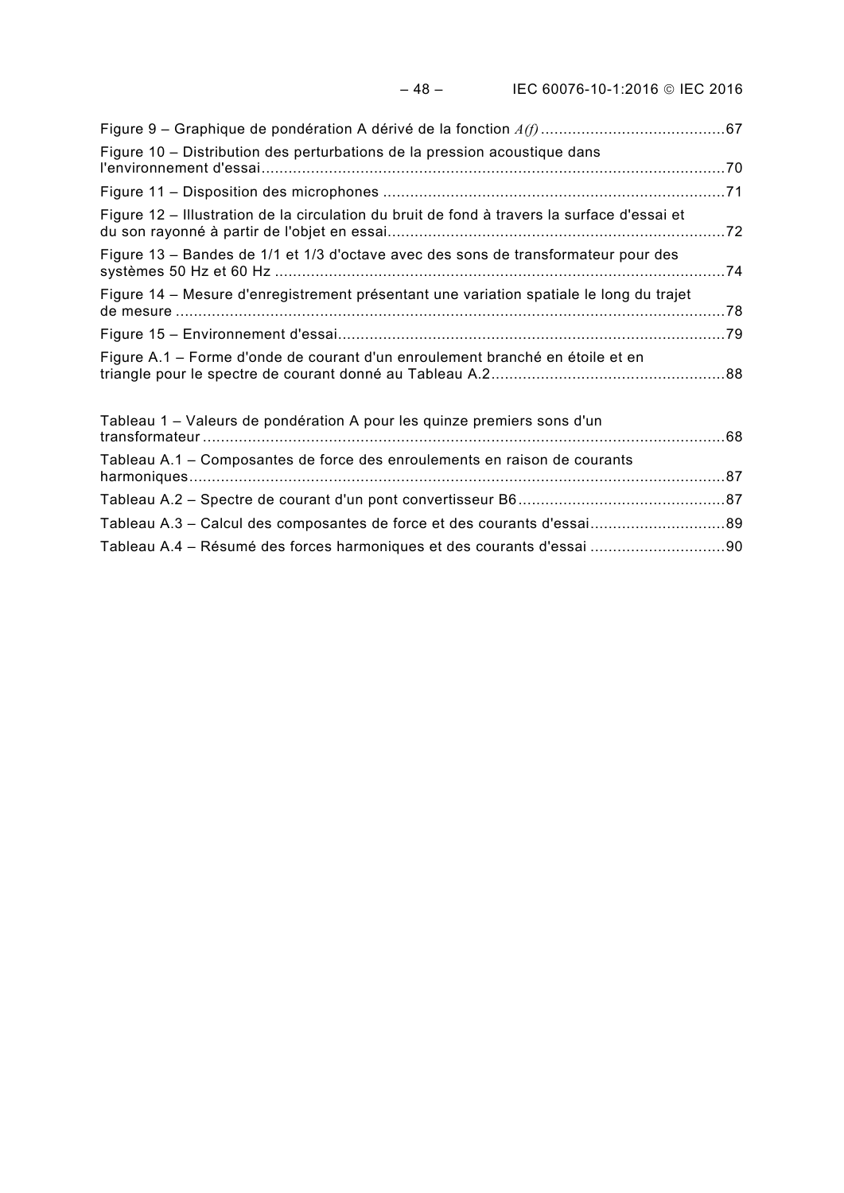| Figure 10 - Distribution des perturbations de la pression acoustique dans                   |  |
|---------------------------------------------------------------------------------------------|--|
|                                                                                             |  |
| Figure 12 – Illustration de la circulation du bruit de fond à travers la surface d'essai et |  |
| Figure 13 – Bandes de 1/1 et 1/3 d'octave avec des sons de transformateur pour des          |  |
| Figure 14 - Mesure d'enregistrement présentant une variation spatiale le long du trajet     |  |
|                                                                                             |  |
| Figure A.1 – Forme d'onde de courant d'un enroulement branché en étoile et en               |  |
| Tableau 1 – Valeurs de pondération A pour les quinze premiers sons d'un                     |  |

| Tableau A.1 – Composantes de force des enroulements en raison de courants |  |
|---------------------------------------------------------------------------|--|
|                                                                           |  |
|                                                                           |  |
| Tableau A.4 - Résumé des forces harmoniques et des courants d'essai 90    |  |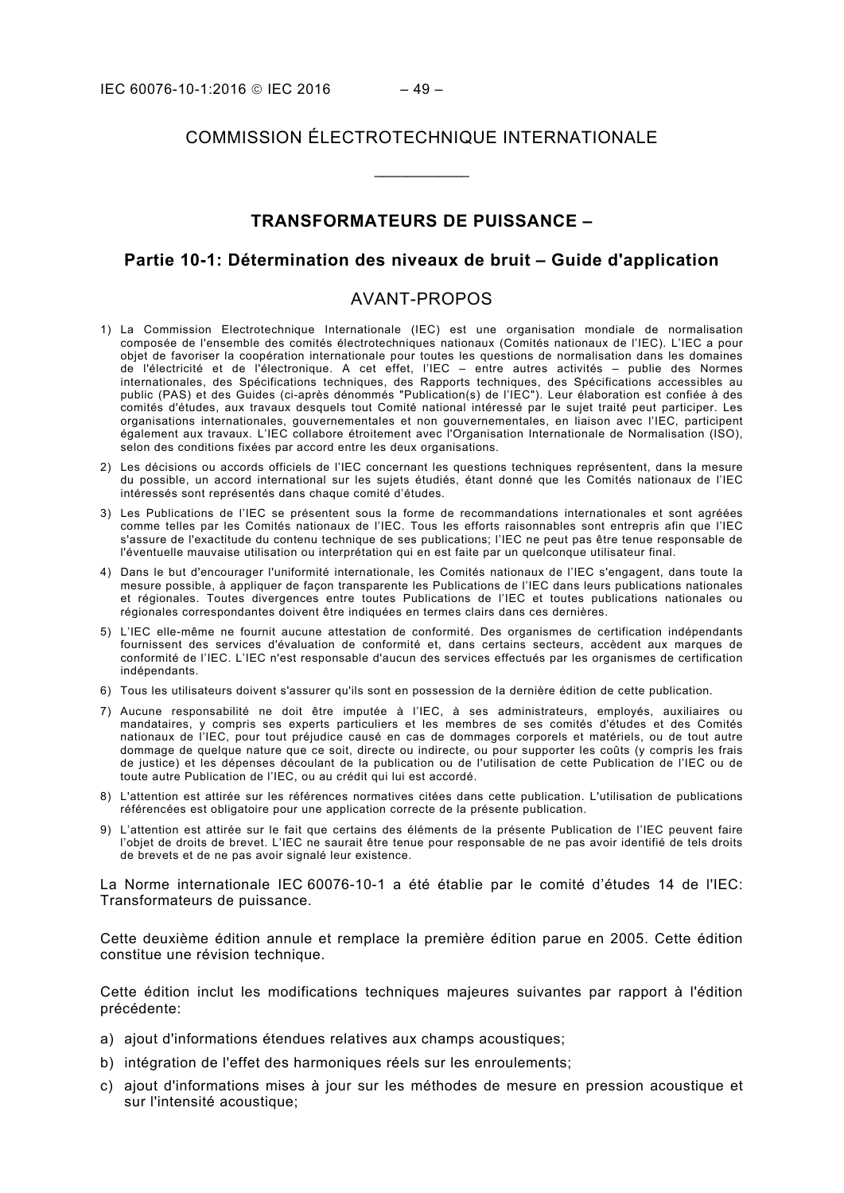# COMMISSION ÉLECTROTECHNIQUE INTERNATIONALE

\_\_\_\_\_\_\_\_\_\_\_\_

# **TRANSFORMATEURS DE PUISSANCE –**

# **Partie 10-1: Détermination des niveaux de bruit – Guide d'application**

## AVANT-PROPOS

- <span id="page-10-0"></span>1) La Commission Electrotechnique Internationale (IEC) est une organisation mondiale de normalisation composée de l'ensemble des comités électrotechniques nationaux (Comités nationaux de l'IEC). L'IEC a pour objet de favoriser la coopération internationale pour toutes les questions de normalisation dans les domaines de l'électricité et de l'électronique. A cet effet, l'IEC – entre autres activités – publie des Normes internationales, des Spécifications techniques, des Rapports techniques, des Spécifications accessibles au public (PAS) et des Guides (ci-après dénommés "Publication(s) de l'IEC"). Leur élaboration est confiée à des comités d'études, aux travaux desquels tout Comité national intéressé par le sujet traité peut participer. Les organisations internationales, gouvernementales et non gouvernementales, en liaison avec l'IEC, participent également aux travaux. L'IEC collabore étroitement avec l'Organisation Internationale de Normalisation (ISO), selon des conditions fixées par accord entre les deux organisations.
- 2) Les décisions ou accords officiels de l'IEC concernant les questions techniques représentent, dans la mesure du possible, un accord international sur les sujets étudiés, étant donné que les Comités nationaux de l'IEC intéressés sont représentés dans chaque comité d'études.
- 3) Les Publications de l'IEC se présentent sous la forme de recommandations internationales et sont agréées comme telles par les Comités nationaux de l'IEC. Tous les efforts raisonnables sont entrepris afin que l'IEC s'assure de l'exactitude du contenu technique de ses publications; l'IEC ne peut pas être tenue responsable de l'éventuelle mauvaise utilisation ou interprétation qui en est faite par un quelconque utilisateur final.
- 4) Dans le but d'encourager l'uniformité internationale, les Comités nationaux de l'IEC s'engagent, dans toute la mesure possible, à appliquer de façon transparente les Publications de l'IEC dans leurs publications nationales et régionales. Toutes divergences entre toutes Publications de l'IEC et toutes publications nationales ou régionales correspondantes doivent être indiquées en termes clairs dans ces dernières.
- 5) L'IEC elle-même ne fournit aucune attestation de conformité. Des organismes de certification indépendants fournissent des services d'évaluation de conformité et, dans certains secteurs, accèdent aux marques de conformité de l'IEC. L'IEC n'est responsable d'aucun des services effectués par les organismes de certification indépendants.
- 6) Tous les utilisateurs doivent s'assurer qu'ils sont en possession de la dernière édition de cette publication.
- 7) Aucune responsabilité ne doit être imputée à l'IEC, à ses administrateurs, employés, auxiliaires ou mandataires, y compris ses experts particuliers et les membres de ses comités d'études et des Comités nationaux de l'IEC, pour tout préjudice causé en cas de dommages corporels et matériels, ou de tout autre dommage de quelque nature que ce soit, directe ou indirecte, ou pour supporter les coûts (y compris les frais de justice) et les dépenses découlant de la publication ou de l'utilisation de cette Publication de l'IEC ou de toute autre Publication de l'IEC, ou au crédit qui lui est accordé.
- 8) L'attention est attirée sur les références normatives citées dans cette publication. L'utilisation de publications référencées est obligatoire pour une application correcte de la présente publication.
- 9) L'attention est attirée sur le fait que certains des éléments de la présente Publication de l'IEC peuvent faire l'objet de droits de brevet. L'IEC ne saurait être tenue pour responsable de ne pas avoir identifié de tels droits de brevets et de ne pas avoir signalé leur existence.

La Norme internationale IEC 60076-10-1 a été établie par le comité d'études 14 de l'IEC: Transformateurs de puissance.

Cette deuxième édition annule et remplace la première édition parue en 2005. Cette édition constitue une révision technique.

Cette édition inclut les modifications techniques majeures suivantes par rapport à l'édition précédente:

- a) ajout d'informations étendues relatives aux champs acoustiques;
- b) intégration de l'effet des harmoniques réels sur les enroulements;
- c) ajout d'informations mises à jour sur les méthodes de mesure en pression acoustique et sur l'intensité acoustique;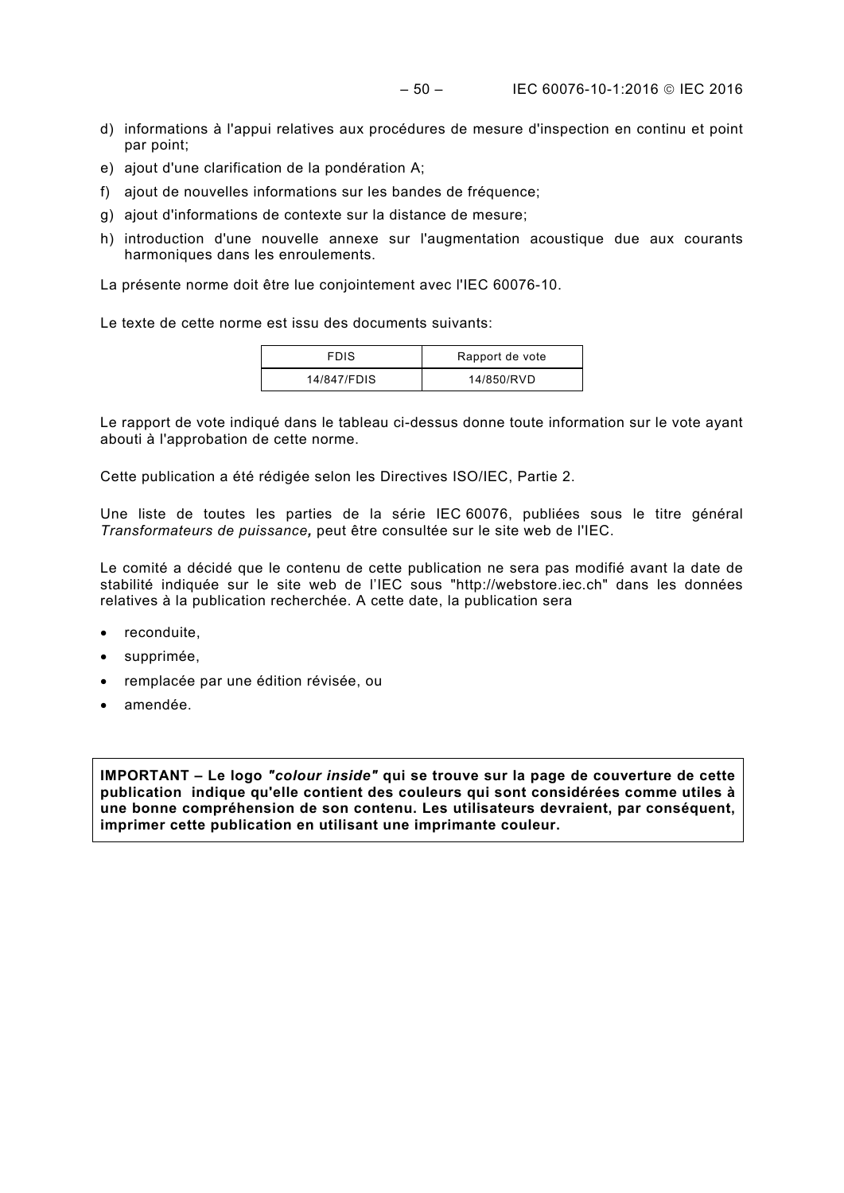- d) informations à l'appui relatives aux procédures de mesure d'inspection en continu et point par point;
- e) ajout d'une clarification de la pondération A;
- f) ajout de nouvelles informations sur les bandes de fréquence;
- g) ajout d'informations de contexte sur la distance de mesure;
- h) introduction d'une nouvelle annexe sur l'augmentation acoustique due aux courants harmoniques dans les enroulements.

La présente norme doit être lue conjointement avec l'IEC 60076-10.

Le texte de cette norme est issu des documents suivants:

| <b>FDIS</b> | Rapport de vote |
|-------------|-----------------|
| 14/847/FDIS | 14/850/RVD      |

Le rapport de vote indiqué dans le tableau ci-dessus donne toute information sur le vote ayant abouti à l'approbation de cette norme.

Cette publication a été rédigée selon les Directives ISO/IEC, Partie 2.

Une liste de toutes les parties de la série IEC 60076, publiées sous le titre général *Transformateurs de puissance,* peut être consultée sur le site web de l'IEC.

Le comité a décidé que le contenu de cette publication ne sera pas modifié avant la date de stabilité indiquée sur le site web de l'IEC sous "http://webstore.iec.ch" dans les données relatives à la publication recherchée. A cette date, la publication sera

- reconduite.
- supprimée,
- remplacée par une édition révisée, ou
- amendée.

**IMPORTANT – Le logo** *"colour inside"* **qui se trouve sur la page de couverture de cette publication indique qu'elle contient des couleurs qui sont considérées comme utiles à une bonne compréhension de son contenu. Les utilisateurs devraient, par conséquent, imprimer cette publication en utilisant une imprimante couleur.**